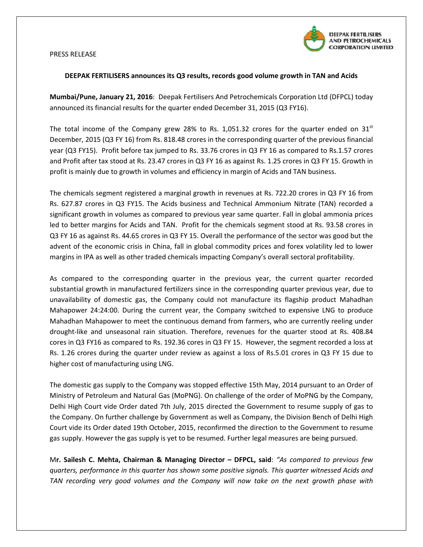



## DEEPAK FERTILISERS announces its Q3 results, records good volume growth in TAN and Acids

Mumbai/Pune, January 21, 2016: Deepak Fertilisers And Petrochemicals Corporation Ltd (DFPCL) today announced its financial results for the quarter ended December 31, 2015 (Q3 FY16).

The total income of the Company grew 28% to Rs. 1,051.32 crores for the quarter ended on 31st December, 2015 (Q3 FY 16) from Rs. 818.48 crores in the corresponding quarter of the previous financial year (Q3 FY15). Profit before tax jumped to Rs. 33.76 crores in Q3 FY 16 as compared to Rs.1.57 crores<br>and Profit after tax stood at Rs. 23.47 crores in Q3 FY 16 as against Rs. 1.25 crores in Q3 FY 15. Growth in and Profit after tax stood at Rs. 23.47 crores in Q3 FY 16 as against Rs. 1.25 crores in Q3 profit is mainly due to growth in volumes and efficiency in margin of Acids and TAN business. business.

The chemicals segment registered a marginal growth in revenues at Rs. 722.20 crores in Q3 FY 16 from Rs. 627.87 crores in Q3 FY15. The Acids business and Technical Ammonium Nitrate (TAN) recorded a significant growth in volumes as compared to previous year same quarter. Fall in global ammonia prices led to better margins for Acids and TAN. Profit for the chemicals segment stood at Rs. 93.58 crores in Q3 FY 16 as against Rs. 44.65 crores in Q3 FY 15. Overall the performance of the sector was good but the advent of the economic crisis in China, fall in global commodity prices and forex volatility led to lower<br>margins in IPA as well as other traded chemicals impacting Company's overall sectoral profitability. margins in IPA as well as other traded chemicals impacting Company's overall sectoral profitability.

As compared to the corresponding quarter in the previous year, the current quarter recorded As compared to the corresponding quarter in the previous year, the current quarter recorded<br>substantial growth in manufactured fertilizers since in the corresponding quarter previous year, due to unavailability of domestic gas, the Company could not manufacture its flagship product Mahadhan product Mahadhan Mahapower 24:24:00. During the current year, the Company switched to expensive LNG to produce Mahadhan Mahapower to meet the continuous demand from farmers, who are currently reeling under<br>drought-like and unseasonal rain situation. Therefore, revenues for the quarter stood at Rs. 408.84 drought-like and unseasonal rain situation. Therefore, revenues for the quarter stood at cores in Q3 FY16 as compared to Rs. 192.36 cores in Q3 FY 15. However, the segment recorded a loss at Rs. 1.26 crores during the quarter under review as against a loss of Rs.5.01 crores in Q3 FY 15 due to higher cost of manufacturing using LNG LNG.

The domestic gas supply to the Company was stopped effective 15th May, 2014 pursuant to an Order of The domestic gas supply to the Company was stopped effective 15th May, 2014 pursuant to an Order of<br>Ministry of Petroleum and Natural Gas (MoPNG). On challenge of the order of MoPNG by the Company, Delhi High Court vide Order dated 7th July, 2015 directed the Government to resume supply of gas to the Company. On further challenge by Government as well as Company, the Division Bench of Delhi High Court vide its Order dated 19th October, 2015, reconfirmed the direction to the Government to resume Delhi High Court vide Order dated 7th July, 2015 directed the Government to resume supply of gas to the Company. On further challenge by Government as well as Company, the Division Bench of Delhi High Court vide its Order

Mr. Sailesh C. Mehta, Chairman & Managing Director - DFPCL, said: "As compared to previous few quarters, performance in this quarter has shown some positive signals. This quarter witnessed Acids and TAN recording very good volumes and the Company will now take on the next growth phase with